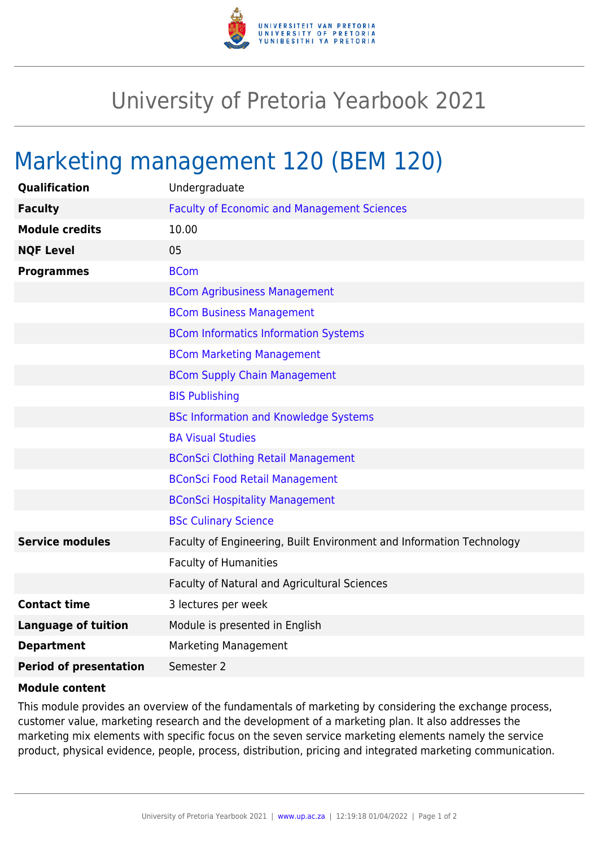

## University of Pretoria Yearbook 2021

## Marketing management 120 (BEM 120)

| Qualification                 | Undergraduate                                                        |
|-------------------------------|----------------------------------------------------------------------|
| <b>Faculty</b>                | <b>Faculty of Economic and Management Sciences</b>                   |
| <b>Module credits</b>         | 10.00                                                                |
| <b>NQF Level</b>              | 05                                                                   |
| <b>Programmes</b>             | <b>BCom</b>                                                          |
|                               | <b>BCom Agribusiness Management</b>                                  |
|                               | <b>BCom Business Management</b>                                      |
|                               | <b>BCom Informatics Information Systems</b>                          |
|                               | <b>BCom Marketing Management</b>                                     |
|                               | <b>BCom Supply Chain Management</b>                                  |
|                               | <b>BIS Publishing</b>                                                |
|                               | <b>BSc Information and Knowledge Systems</b>                         |
|                               | <b>BA Visual Studies</b>                                             |
|                               | <b>BConSci Clothing Retail Management</b>                            |
|                               | <b>BConSci Food Retail Management</b>                                |
|                               | <b>BConSci Hospitality Management</b>                                |
|                               | <b>BSc Culinary Science</b>                                          |
| <b>Service modules</b>        | Faculty of Engineering, Built Environment and Information Technology |
|                               | <b>Faculty of Humanities</b>                                         |
|                               | Faculty of Natural and Agricultural Sciences                         |
| <b>Contact time</b>           | 3 lectures per week                                                  |
| <b>Language of tuition</b>    | Module is presented in English                                       |
| <b>Department</b>             | <b>Marketing Management</b>                                          |
| <b>Period of presentation</b> | Semester 2                                                           |

## **Module content**

This module provides an overview of the fundamentals of marketing by considering the exchange process, customer value, marketing research and the development of a marketing plan. It also addresses the marketing mix elements with specific focus on the seven service marketing elements namely the service product, physical evidence, people, process, distribution, pricing and integrated marketing communication.